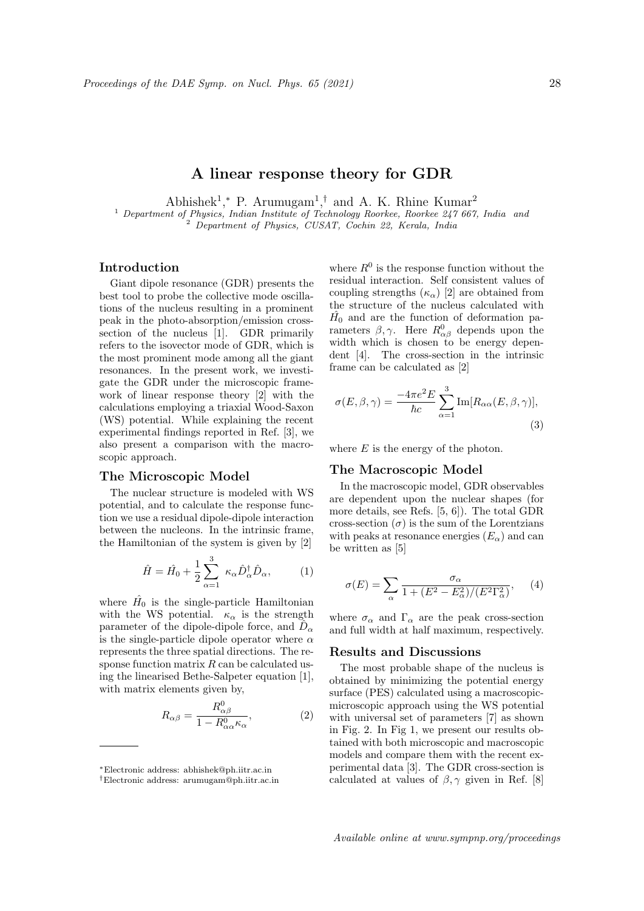# A linear response theory for GDR

Abhishek<sup>1</sup>,\* P. Arumugam<sup>1</sup>,<sup>†</sup> and A. K. Rhine Kumar<sup>2</sup>

<sup>1</sup> Department of Physics, Indian Institute of Technology Roorkee, Roorkee 247 667, India and <sup>2</sup> Department of Physics, CUSAT, Cochin 22, Kerala, India

# Introduction

Giant dipole resonance (GDR) presents the best tool to probe the collective mode oscillations of the nucleus resulting in a prominent peak in the photo-absorption/emission crosssection of the nucleus [1]. GDR primarily refers to the isovector mode of GDR, which is the most prominent mode among all the giant resonances. In the present work, we investigate the GDR under the microscopic framework of linear response theory [2] with the calculations employing a triaxial Wood-Saxon (WS) potential. While explaining the recent experimental findings reported in Ref. [3], we also present a comparison with the macroscopic approach.

### The Microscopic Model

The nuclear structure is modeled with WS potential, and to calculate the response function we use a residual dipole-dipole interaction between the nucleons. In the intrinsic frame, the Hamiltonian of the system is given by [2]

$$
\hat{H} = \hat{H}_0 + \frac{1}{2} \sum_{\alpha=1}^3 \kappa_\alpha \hat{D}_\alpha^\dagger \hat{D}_\alpha, \tag{1}
$$

where  $\hat{H}_0$  is the single-particle Hamiltonian with the WS potential.  $\kappa_{\alpha}$  is the strength parameter of the dipole-dipole force, and  $\hat{D}_{\alpha}$ is the single-particle dipole operator where  $\alpha$ represents the three spatial directions. The response function matrix  $R$  can be calculated using the linearised Bethe-Salpeter equation [1], with matrix elements given by,

$$
R_{\alpha\beta} = \frac{R_{\alpha\beta}^0}{1 - R_{\alpha\alpha}^0 \kappa_\alpha},\tag{2}
$$

where  $R^0$  is the response function without the residual interaction. Self consistent values of coupling strengths  $(\kappa_{\alpha})$  [2] are obtained from the structure of the nucleus calculated with  $\hat{H_0}$  and are the function of deformation parameters  $\beta, \gamma$ . Here  $R^0_{\alpha\beta}$  depends upon the width which is chosen to be energy dependent [4]. The cross-section in the intrinsic frame can be calculated as [2]

$$
\sigma(E,\beta,\gamma) = \frac{-4\pi e^2 E}{\hbar c} \sum_{\alpha=1}^3 \text{Im}[R_{\alpha\alpha}(E,\beta,\gamma)],
$$
\n(3)

where  $E$  is the energy of the photon.

### The Macroscopic Model

In the macroscopic model, GDR observables are dependent upon the nuclear shapes (for more details, see Refs. [5, 6]). The total GDR cross-section  $(\sigma)$  is the sum of the Lorentzians with peaks at resonance energies  $(E_{\alpha})$  and can be written as [5]

$$
\sigma(E) = \sum_{\alpha} \frac{\sigma_{\alpha}}{1 + (E^2 - E_{\alpha}^2)/(E^2 \Gamma_{\alpha}^2)},\qquad(4)
$$

where  $\sigma_{\alpha}$  and  $\Gamma_{\alpha}$  are the peak cross-section and full width at half maximum, respectively.

#### Results and Discussions

The most probable shape of the nucleus is obtained by minimizing the potential energy surface (PES) calculated using a macroscopicmicroscopic approach using the WS potential with universal set of parameters [7] as shown in Fig. 2. In Fig 1, we present our results obtained with both microscopic and macroscopic models and compare them with the recent experimental data [3]. The GDR cross-section is calculated at values of  $\beta$ ,  $\gamma$  given in Ref. [8]

<sup>∗</sup>Electronic address: abhishek@ph.iitr.ac.in

<sup>†</sup>Electronic address: arumugam@ph.iitr.ac.in